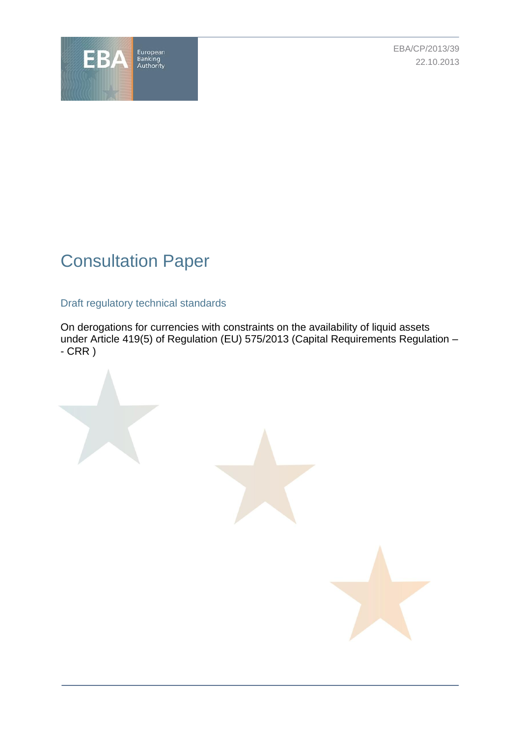

EBA/CP/2013/39 22.10.2013

# Consultation Paper

# Draft regulatory technical standards

On derogations for currencies with constraints on the availability of liquid assets under Article 419(5) of Regulation (EU) 575/2013 (Capital Requirements Regulation –  $-CRR$ )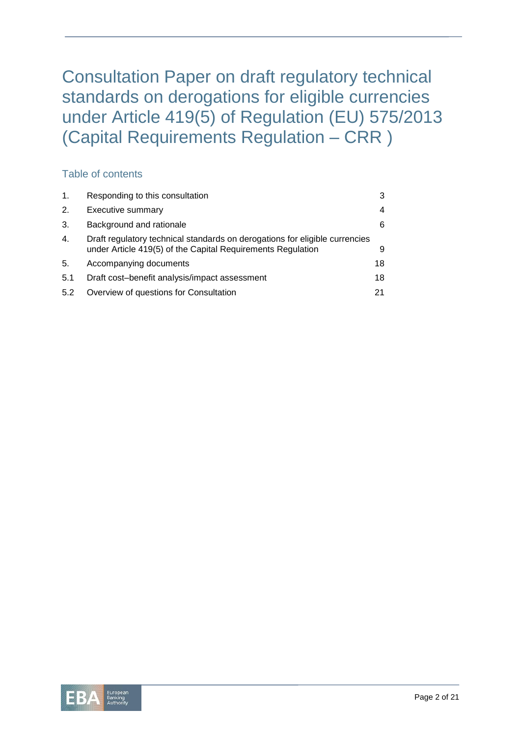Consultation Paper on draft regulatory technical standards on derogations for eligible currencies under Article 419(5) of Regulation (EU) 575/2013 (Capital Requirements Regulation – CRR )

# Table of contents

| $\mathbf{1}$ . | Responding to this consultation                                                                                                            | 3  |
|----------------|--------------------------------------------------------------------------------------------------------------------------------------------|----|
| 2.             | Executive summary                                                                                                                          | 4  |
| 3.             | Background and rationale                                                                                                                   | 6  |
| 4.             | Draft regulatory technical standards on derogations for eligible currencies<br>under Article 419(5) of the Capital Requirements Regulation | 9  |
| 5.             | Accompanying documents                                                                                                                     | 18 |
| 5.1            | Draft cost-benefit analysis/impact assessment                                                                                              | 18 |
| 5.2            | Overview of questions for Consultation                                                                                                     | 21 |

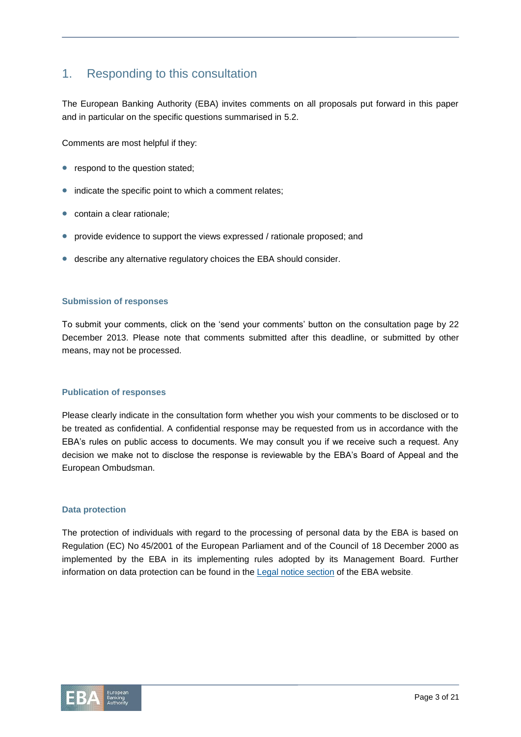# 1. Responding to this consultation

The European Banking Authority (EBA) invites comments on all proposals put forward in this paper and in particular on the specific questions summarised in 5.2.

Comments are most helpful if they:

- respond to the question stated;
- indicate the specific point to which a comment relates;
- **•** contain a clear rationale;
- provide evidence to support the views expressed / rationale proposed; and
- describe any alternative regulatory choices the EBA should consider.

#### **Submission of responses**

To submit your comments, click on the 'send your comments' button on the consultation page by 22 December 2013. Please note that comments submitted after this deadline, or submitted by other means, may not be processed.

#### **Publication of responses**

Please clearly indicate in the consultation form whether you wish your comments to be disclosed or to be treated as confidential. A confidential response may be requested from us in accordance with the EBA's rules on public access to documents. We may consult you if we receive such a request. Any decision we make not to disclose the response is reviewable by the EBA's Board of Appeal and the European Ombudsman.

#### **Data protection**

The protection of individuals with regard to the processing of personal data by the EBA is based on Regulation (EC) No 45/2001 of the European Parliament and of the Council of 18 December 2000 as implemented by the EBA in its implementing rules adopted by its Management Board. Further information on data protection can be found in the Legal notice [section](http://eba.europa.eu/legal-notice) of the EBA website.

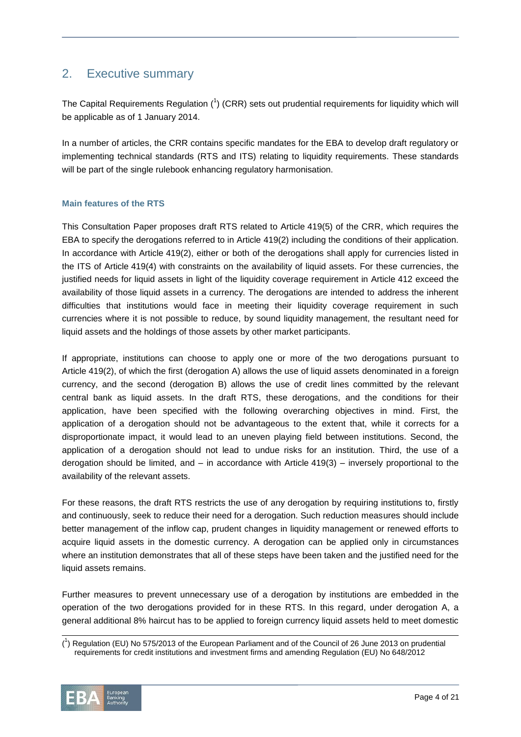# 2. Executive summary

The Capital Requirements Regulation  $(^1)$  (CRR) sets out prudential requirements for liquidity which will be applicable as of 1 January 2014.

In a number of articles, the CRR contains specific mandates for the EBA to develop draft regulatory or implementing technical standards (RTS and ITS) relating to liquidity requirements. These standards will be part of the single rulebook enhancing regulatory harmonisation.

### **Main features of the RTS**

This Consultation Paper proposes draft RTS related to Article 419(5) of the CRR, which requires the EBA to specify the derogations referred to in Article 419(2) including the conditions of their application. In accordance with Article 419(2), either or both of the derogations shall apply for currencies listed in the ITS of Article 419(4) with constraints on the availability of liquid assets. For these currencies, the justified needs for liquid assets in light of the liquidity coverage requirement in Article 412 exceed the availability of those liquid assets in a currency. The derogations are intended to address the inherent difficulties that institutions would face in meeting their liquidity coverage requirement in such currencies where it is not possible to reduce, by sound liquidity management, the resultant need for liquid assets and the holdings of those assets by other market participants.

If appropriate, institutions can choose to apply one or more of the two derogations pursuant to Article 419(2), of which the first (derogation A) allows the use of liquid assets denominated in a foreign currency, and the second (derogation B) allows the use of credit lines committed by the relevant central bank as liquid assets. In the draft RTS, these derogations, and the conditions for their application, have been specified with the following overarching objectives in mind. First, the application of a derogation should not be advantageous to the extent that, while it corrects for a disproportionate impact, it would lead to an uneven playing field between institutions. Second, the application of a derogation should not lead to undue risks for an institution. Third, the use of a derogation should be limited, and – in accordance with Article 419(3) – inversely proportional to the availability of the relevant assets.

For these reasons, the draft RTS restricts the use of any derogation by requiring institutions to, firstly and continuously, seek to reduce their need for a derogation. Such reduction measures should include better management of the inflow cap, prudent changes in liquidity management or renewed efforts to acquire liquid assets in the domestic currency. A derogation can be applied only in circumstances where an institution demonstrates that all of these steps have been taken and the justified need for the liquid assets remains.

Further measures to prevent unnecessary use of a derogation by institutions are embedded in the operation of the two derogations provided for in these RTS. In this regard, under derogation A, a general additional 8% haircut has to be applied to foreign currency liquid assets held to meet domestic

<sup>(</sup> 1 ) Regulation (EU) No 575/2013 of the European Parliament and of the Council of 26 June 2013 on prudential requirements for credit institutions and investment firms and amending Regulation (EU) No 648/2012



 $\overline{a}$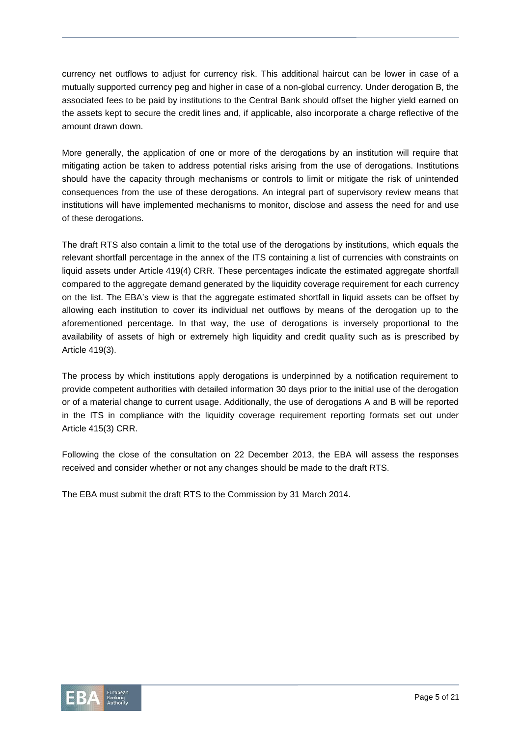currency net outflows to adjust for currency risk. This additional haircut can be lower in case of a mutually supported currency peg and higher in case of a non-global currency. Under derogation B, the associated fees to be paid by institutions to the Central Bank should offset the higher yield earned on the assets kept to secure the credit lines and, if applicable, also incorporate a charge reflective of the amount drawn down.

More generally, the application of one or more of the derogations by an institution will require that mitigating action be taken to address potential risks arising from the use of derogations. Institutions should have the capacity through mechanisms or controls to limit or mitigate the risk of unintended consequences from the use of these derogations. An integral part of supervisory review means that institutions will have implemented mechanisms to monitor, disclose and assess the need for and use of these derogations.

The draft RTS also contain a limit to the total use of the derogations by institutions, which equals the relevant shortfall percentage in the annex of the ITS containing a list of currencies with constraints on liquid assets under Article 419(4) CRR. These percentages indicate the estimated aggregate shortfall compared to the aggregate demand generated by the liquidity coverage requirement for each currency on the list. The EBA's view is that the aggregate estimated shortfall in liquid assets can be offset by allowing each institution to cover its individual net outflows by means of the derogation up to the aforementioned percentage. In that way, the use of derogations is inversely proportional to the availability of assets of high or extremely high liquidity and credit quality such as is prescribed by Article 419(3).

The process by which institutions apply derogations is underpinned by a notification requirement to provide competent authorities with detailed information 30 days prior to the initial use of the derogation or of a material change to current usage. Additionally, the use of derogations A and B will be reported in the ITS in compliance with the liquidity coverage requirement reporting formats set out under Article 415(3) CRR.

Following the close of the consultation on 22 December 2013, the EBA will assess the responses received and consider whether or not any changes should be made to the draft RTS.

The EBA must submit the draft RTS to the Commission by 31 March 2014.

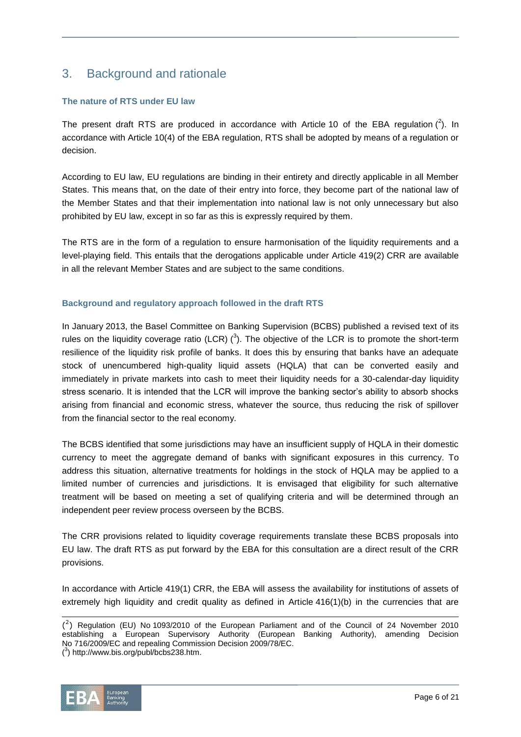# 3. Background and rationale

### **The nature of RTS under EU law**

The present draft RTS are produced in accordance with Article 10 of the EBA regulation  $(^2)$ . In accordance with Article 10(4) of the EBA regulation, RTS shall be adopted by means of a regulation or decision.

According to EU law, EU regulations are binding in their entirety and directly applicable in all Member States. This means that, on the date of their entry into force, they become part of the national law of the Member States and that their implementation into national law is not only unnecessary but also prohibited by EU law, except in so far as this is expressly required by them.

The RTS are in the form of a regulation to ensure harmonisation of the liquidity requirements and a level-playing field. This entails that the derogations applicable under Article 419(2) CRR are available in all the relevant Member States and are subject to the same conditions.

### **Background and regulatory approach followed in the draft RTS**

In January 2013, the Basel Committee on Banking Supervision (BCBS) published a revised text of its rules on the liquidity coverage ratio (LCR)  $(^3)$ . The objective of the LCR is to promote the short-term resilience of the liquidity risk profile of banks. It does this by ensuring that banks have an adequate stock of unencumbered high-quality liquid assets (HQLA) that can be converted easily and immediately in private markets into cash to meet their liquidity needs for a 30-calendar-day liquidity stress scenario. It is intended that the LCR will improve the banking sector's ability to absorb shocks arising from financial and economic stress, whatever the source, thus reducing the risk of spillover from the financial sector to the real economy.

The BCBS identified that some jurisdictions may have an insufficient supply of HQLA in their domestic currency to meet the aggregate demand of banks with significant exposures in this currency. To address this situation, alternative treatments for holdings in the stock of HQLA may be applied to a limited number of currencies and jurisdictions. It is envisaged that eligibility for such alternative treatment will be based on meeting a set of qualifying criteria and will be determined through an independent peer review process overseen by the BCBS.

The CRR provisions related to liquidity coverage requirements translate these BCBS proposals into EU law. The draft RTS as put forward by the EBA for this consultation are a direct result of the CRR provisions.

In accordance with Article 419(1) CRR, the EBA will assess the availability for institutions of assets of extremely high liquidity and credit quality as defined in Article 416(1)(b) in the currencies that are

 $\overline{a}$ 

 $({}^{2})$  Regulation (EU) No 1093/2010 of the European Parliament and of the Council of 24 November 2010 establishing a European Supervisory Authority (European Banking Authority), amending Decision No 716/2009/EC and repealing Commission Decision 2009/78/EC. ( 3 ) http://www.bis.org/publ/bcbs238.htm.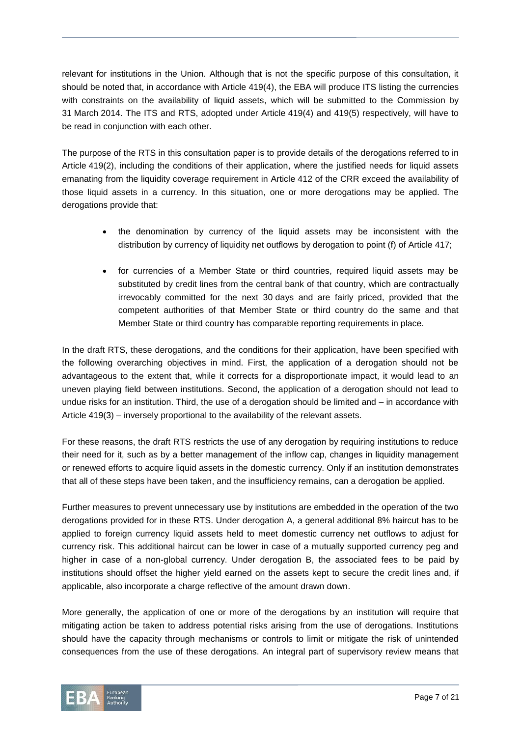relevant for institutions in the Union. Although that is not the specific purpose of this consultation, it should be noted that, in accordance with Article 419(4), the EBA will produce ITS listing the currencies with constraints on the availability of liquid assets, which will be submitted to the Commission by 31 March 2014. The ITS and RTS, adopted under Article 419(4) and 419(5) respectively, will have to be read in conjunction with each other.

The purpose of the RTS in this consultation paper is to provide details of the derogations referred to in Article 419(2), including the conditions of their application, where the justified needs for liquid assets emanating from the liquidity coverage requirement in Article 412 of the CRR exceed the availability of those liquid assets in a currency. In this situation, one or more derogations may be applied. The derogations provide that:

- the denomination by currency of the liquid assets may be inconsistent with the distribution by currency of liquidity net outflows by derogation to point (f) of Article 417;
- for currencies of a Member State or third countries, required liquid assets may be substituted by credit lines from the central bank of that country, which are contractually irrevocably committed for the next 30 days and are fairly priced, provided that the competent authorities of that Member State or third country do the same and that Member State or third country has comparable reporting requirements in place.

In the draft RTS, these derogations, and the conditions for their application, have been specified with the following overarching objectives in mind. First, the application of a derogation should not be advantageous to the extent that, while it corrects for a disproportionate impact, it would lead to an uneven playing field between institutions. Second, the application of a derogation should not lead to undue risks for an institution. Third, the use of a derogation should be limited and – in accordance with Article 419(3) – inversely proportional to the availability of the relevant assets.

For these reasons, the draft RTS restricts the use of any derogation by requiring institutions to reduce their need for it, such as by a better management of the inflow cap, changes in liquidity management or renewed efforts to acquire liquid assets in the domestic currency. Only if an institution demonstrates that all of these steps have been taken, and the insufficiency remains, can a derogation be applied.

Further measures to prevent unnecessary use by institutions are embedded in the operation of the two derogations provided for in these RTS. Under derogation A, a general additional 8% haircut has to be applied to foreign currency liquid assets held to meet domestic currency net outflows to adjust for currency risk. This additional haircut can be lower in case of a mutually supported currency peg and higher in case of a non-global currency. Under derogation B, the associated fees to be paid by institutions should offset the higher yield earned on the assets kept to secure the credit lines and, if applicable, also incorporate a charge reflective of the amount drawn down.

More generally, the application of one or more of the derogations by an institution will require that mitigating action be taken to address potential risks arising from the use of derogations. Institutions should have the capacity through mechanisms or controls to limit or mitigate the risk of unintended consequences from the use of these derogations. An integral part of supervisory review means that

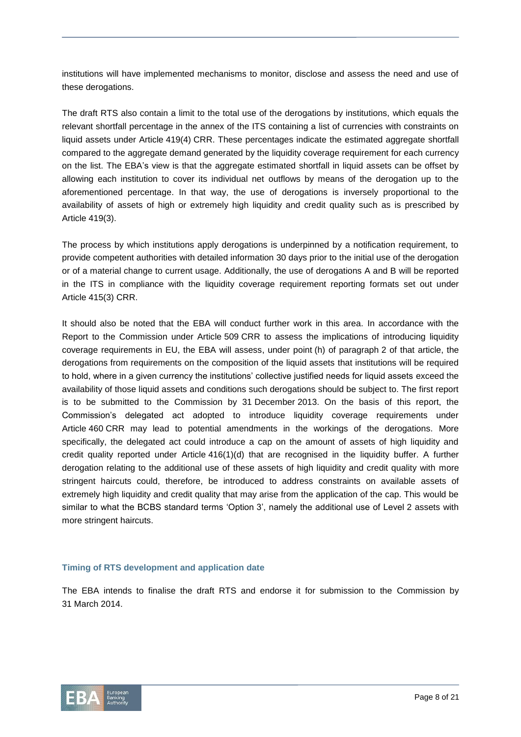institutions will have implemented mechanisms to monitor, disclose and assess the need and use of these derogations.

The draft RTS also contain a limit to the total use of the derogations by institutions, which equals the relevant shortfall percentage in the annex of the ITS containing a list of currencies with constraints on liquid assets under Article 419(4) CRR. These percentages indicate the estimated aggregate shortfall compared to the aggregate demand generated by the liquidity coverage requirement for each currency on the list. The EBA's view is that the aggregate estimated shortfall in liquid assets can be offset by allowing each institution to cover its individual net outflows by means of the derogation up to the aforementioned percentage. In that way, the use of derogations is inversely proportional to the availability of assets of high or extremely high liquidity and credit quality such as is prescribed by Article 419(3).

The process by which institutions apply derogations is underpinned by a notification requirement, to provide competent authorities with detailed information 30 days prior to the initial use of the derogation or of a material change to current usage. Additionally, the use of derogations A and B will be reported in the ITS in compliance with the liquidity coverage requirement reporting formats set out under Article 415(3) CRR.

It should also be noted that the EBA will conduct further work in this area. In accordance with the Report to the Commission under Article 509 CRR to assess the implications of introducing liquidity coverage requirements in EU, the EBA will assess, under point (h) of paragraph 2 of that article, the derogations from requirements on the composition of the liquid assets that institutions will be required to hold, where in a given currency the institutions' collective justified needs for liquid assets exceed the availability of those liquid assets and conditions such derogations should be subject to. The first report is to be submitted to the Commission by 31 December 2013. On the basis of this report, the Commission's delegated act adopted to introduce liquidity coverage requirements under Article 460 CRR may lead to potential amendments in the workings of the derogations. More specifically, the delegated act could introduce a cap on the amount of assets of high liquidity and credit quality reported under Article 416(1)(d) that are recognised in the liquidity buffer. A further derogation relating to the additional use of these assets of high liquidity and credit quality with more stringent haircuts could, therefore, be introduced to address constraints on available assets of extremely high liquidity and credit quality that may arise from the application of the cap. This would be similar to what the BCBS standard terms 'Option 3', namely the additional use of Level 2 assets with more stringent haircuts.

#### **Timing of RTS development and application date**

The EBA intends to finalise the draft RTS and endorse it for submission to the Commission by 31 March 2014.

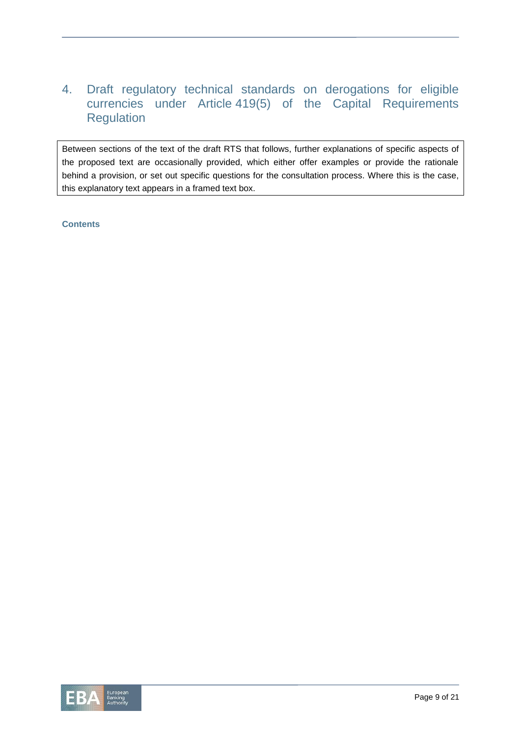# 4. Draft regulatory technical standards on derogations for eligible currencies under Article 419(5) of the Capital Requirements **Regulation**

Between sections of the text of the draft RTS that follows, further explanations of specific aspects of the proposed text are occasionally provided, which either offer examples or provide the rationale behind a provision, or set out specific questions for the consultation process. Where this is the case, this explanatory text appears in a framed text box.

**Contents**

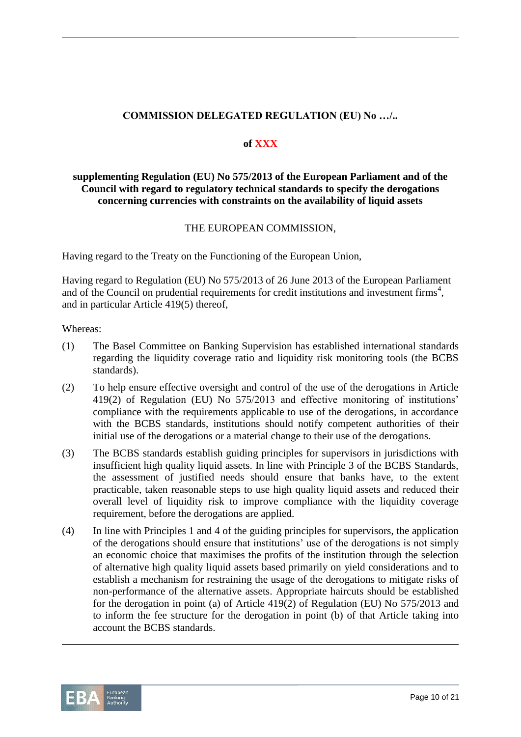# **COMMISSION DELEGATED REGULATION (EU) No …/..**

### **of XXX**

# **supplementing Regulation (EU) No 575/2013 of the European Parliament and of the Council with regard to regulatory technical standards to specify the derogations concerning currencies with constraints on the availability of liquid assets**

## THE EUROPEAN COMMISSION,

Having regard to the Treaty on the Functioning of the European Union,

Having regard to Regulation (EU) No 575/2013 of 26 June 2013 of the European Parliament and of the Council on prudential requirements for credit institutions and investment firms<sup>4</sup>, and in particular Article 419(5) thereof,

Whereas:

- (1) The Basel Committee on Banking Supervision has established international standards regarding the liquidity coverage ratio and liquidity risk monitoring tools (the BCBS standards).
- (2) To help ensure effective oversight and control of the use of the derogations in Article 419(2) of Regulation (EU) No 575/2013 and effective monitoring of institutions' compliance with the requirements applicable to use of the derogations, in accordance with the BCBS standards, institutions should notify competent authorities of their initial use of the derogations or a material change to their use of the derogations.
- (3) The BCBS standards establish guiding principles for supervisors in jurisdictions with insufficient high quality liquid assets. In line with Principle 3 of the BCBS Standards, the assessment of justified needs should ensure that banks have, to the extent practicable, taken reasonable steps to use high quality liquid assets and reduced their overall level of liquidity risk to improve compliance with the liquidity coverage requirement, before the derogations are applied.
- (4) In line with Principles 1 and 4 of the guiding principles for supervisors, the application of the derogations should ensure that institutions' use of the derogations is not simply an economic choice that maximises the profits of the institution through the selection of alternative high quality liquid assets based primarily on yield considerations and to establish a mechanism for restraining the usage of the derogations to mitigate risks of non-performance of the alternative assets. Appropriate haircuts should be established for the derogation in point (a) of Article 419(2) of Regulation (EU) No 575/2013 and to inform the fee structure for the derogation in point (b) of that Article taking into account the BCBS standards.



l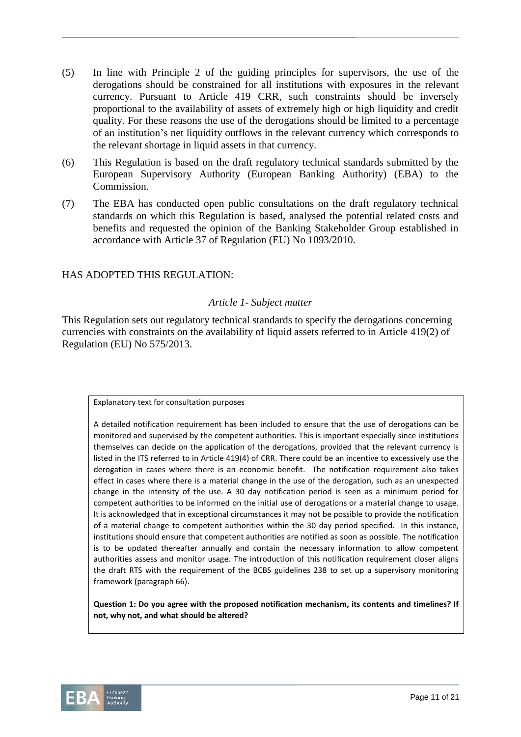- (5) In line with Principle 2 of the guiding principles for supervisors, the use of the derogations should be constrained for all institutions with exposures in the relevant currency. Pursuant to Article 419 CRR, such constraints should be inversely proportional to the availability of assets of extremely high or high liquidity and credit quality. For these reasons the use of the derogations should be limited to a percentage of an institution's net liquidity outflows in the relevant currency which corresponds to the relevant shortage in liquid assets in that currency.
- (6) This Regulation is based on the draft regulatory technical standards submitted by the European Supervisory Authority (European Banking Authority) (EBA) to the Commission.
- (7) The EBA has conducted open public consultations on the draft regulatory technical standards on which this Regulation is based, analysed the potential related costs and benefits and requested the opinion of the Banking Stakeholder Group established in accordance with Article 37 of Regulation (EU) No 1093/2010.

# HAS ADOPTED THIS REGULATION:

## *Article 1- Subject matter*

This Regulation sets out regulatory technical standards to specify the derogations concerning currencies with constraints on the availability of liquid assets referred to in Article 419(2) of Regulation (EU) No 575/2013.

Explanatory text for consultation purposes

A detailed notification requirement has been included to ensure that the use of derogations can be monitored and supervised by the competent authorities. This is important especially since institutions themselves can decide on the application of the derogations, provided that the relevant currency is listed in the ITS referred to in Article 419(4) of CRR. There could be an incentive to excessively use the derogation in cases where there is an economic benefit. The notification requirement also takes effect in cases where there is a material change in the use of the derogation, such as an unexpected change in the intensity of the use. A 30 day notification period is seen as a minimum period for competent authorities to be informed on the initial use of derogations or a material change to usage. It is acknowledged that in exceptional circumstances it may not be possible to provide the notification of a material change to competent authorities within the 30 day period specified. In this instance, institutions should ensure that competent authorities are notified as soon as possible. The notification is to be updated thereafter annually and contain the necessary information to allow competent authorities assess and monitor usage. The introduction of this notification requirement closer aligns the draft RTS with the requirement of the BCBS guidelines 238 to set up a supervisory monitoring framework (paragraph 66).

**Question 1: Do you agree with the proposed notification mechanism, its contents and timelines? If not, why not, and what should be altered?**

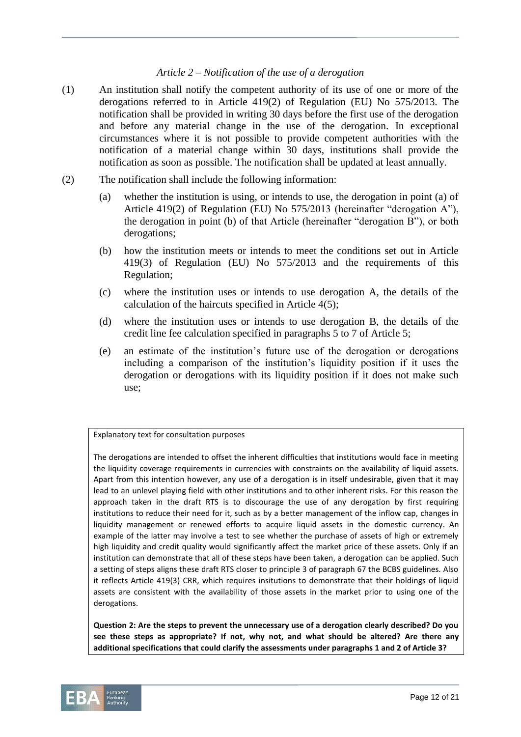## *Article 2 – Notification of the use of a derogation*

- (1) An institution shall notify the competent authority of its use of one or more of the derogations referred to in Article 419(2) of Regulation (EU) No 575/2013. The notification shall be provided in writing 30 days before the first use of the derogation and before any material change in the use of the derogation. In exceptional circumstances where it is not possible to provide competent authorities with the notification of a material change within 30 days, institutions shall provide the notification as soon as possible. The notification shall be updated at least annually.
- (2) The notification shall include the following information:
	- (a) whether the institution is using, or intends to use, the derogation in point (a) of Article 419(2) of Regulation (EU) No 575/2013 (hereinafter "derogation A"), the derogation in point (b) of that Article (hereinafter "derogation B"), or both derogations;
	- (b) how the institution meets or intends to meet the conditions set out in Article 419(3) of Regulation (EU) No 575/2013 and the requirements of this Regulation;
	- (c) where the institution uses or intends to use derogation A, the details of the calculation of the haircuts specified in Article 4(5);
	- (d) where the institution uses or intends to use derogation B, the details of the credit line fee calculation specified in paragraphs 5 to 7 of Article 5;
	- (e) an estimate of the institution's future use of the derogation or derogations including a comparison of the institution's liquidity position if it uses the derogation or derogations with its liquidity position if it does not make such use;

Explanatory text for consultation purposes

The derogations are intended to offset the inherent difficulties that institutions would face in meeting the liquidity coverage requirements in currencies with constraints on the availability of liquid assets. Apart from this intention however, any use of a derogation is in itself undesirable, given that it may lead to an unlevel playing field with other institutions and to other inherent risks. For this reason the approach taken in the draft RTS is to discourage the use of any derogation by first requiring institutions to reduce their need for it, such as by a better management of the inflow cap, changes in liquidity management or renewed efforts to acquire liquid assets in the domestic currency. An example of the latter may involve a test to see whether the purchase of assets of high or extremely high liquidity and credit quality would significantly affect the market price of these assets. Only if an institution can demonstrate that all of these steps have been taken, a derogation can be applied. Such a setting of steps aligns these draft RTS closer to principle 3 of paragraph 67 the BCBS guidelines. Also it reflects Article 419(3) CRR, which requires insitutions to demonstrate that their holdings of liquid assets are consistent with the availability of those assets in the market prior to using one of the derogations.

**Question 2: Are the steps to prevent the unnecessary use of a derogation clearly described? Do you see these steps as appropriate? If not, why not, and what should be altered? Are there any additional specifications that could clarify the assessments under paragraphs 1 and 2 of Article 3?** 

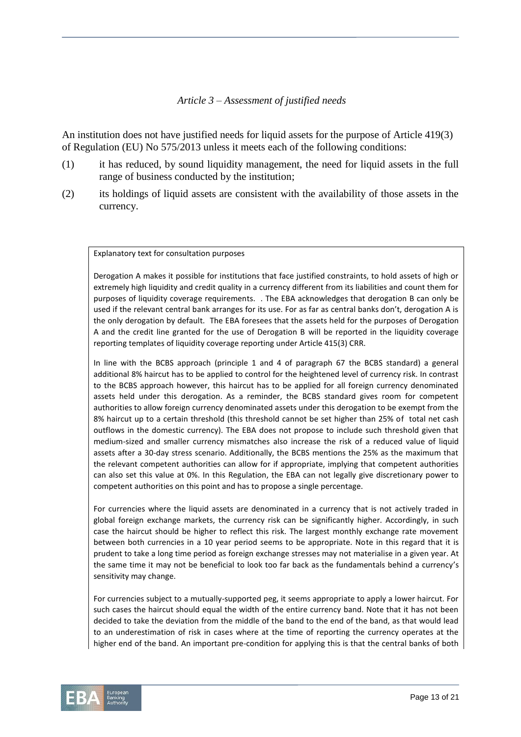## *Article 3 – Assessment of justified needs*

An institution does not have justified needs for liquid assets for the purpose of Article 419(3) of Regulation (EU) No 575/2013 unless it meets each of the following conditions:

- (1) it has reduced, by sound liquidity management, the need for liquid assets in the full range of business conducted by the institution;
- (2) its holdings of liquid assets are consistent with the availability of those assets in the currency.

Explanatory text for consultation purposes

Derogation A makes it possible for institutions that face justified constraints, to hold assets of high or extremely high liquidity and credit quality in a currency different from its liabilities and count them for purposes of liquidity coverage requirements. . The EBA acknowledges that derogation B can only be used if the relevant central bank arranges for its use. For as far as central banks don't, derogation A is the only derogation by default. The EBA foresees that the assets held for the purposes of Derogation A and the credit line granted for the use of Derogation B will be reported in the liquidity coverage reporting templates of liquidity coverage reporting under Article 415(3) CRR.

In line with the BCBS approach (principle 1 and 4 of paragraph 67 the BCBS standard) a general additional 8% haircut has to be applied to control for the heightened level of currency risk. In contrast to the BCBS approach however, this haircut has to be applied for all foreign currency denominated assets held under this derogation. As a reminder, the BCBS standard gives room for competent authorities to allow foreign currency denominated assets under this derogation to be exempt from the 8% haircut up to a certain threshold (this threshold cannot be set higher than 25% of total net cash outflows in the domestic currency). The EBA does not propose to include such threshold given that medium-sized and smaller currency mismatches also increase the risk of a reduced value of liquid assets after a 30-day stress scenario. Additionally, the BCBS mentions the 25% as the maximum that the relevant competent authorities can allow for if appropriate, implying that competent authorities can also set this value at 0%. In this Regulation, the EBA can not legally give discretionary power to competent authorities on this point and has to propose a single percentage.

For currencies where the liquid assets are denominated in a currency that is not actively traded in global foreign exchange markets, the currency risk can be significantly higher. Accordingly, in such case the haircut should be higher to reflect this risk. The largest monthly exchange rate movement between both currencies in a 10 year period seems to be appropriate. Note in this regard that it is prudent to take a long time period as foreign exchange stresses may not materialise in a given year. At the same time it may not be beneficial to look too far back as the fundamentals behind a currency's sensitivity may change.

For currencies subject to a mutually-supported peg, it seems appropriate to apply a lower haircut. For such cases the haircut should equal the width of the entire currency band. Note that it has not been decided to take the deviation from the middle of the band to the end of the band, as that would lead to an underestimation of risk in cases where at the time of reporting the currency operates at the higher end of the band. An important pre-condition for applying this is that the central banks of both

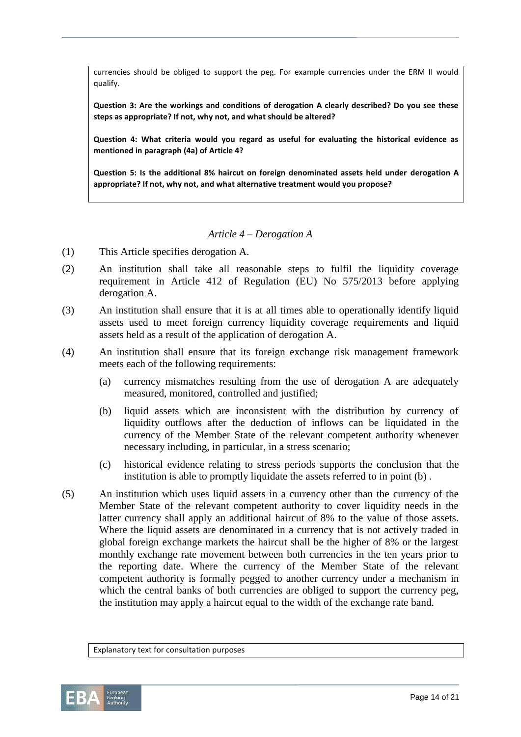currencies should be obliged to support the peg. For example currencies under the ERM II would qualify.

**Question 3: Are the workings and conditions of derogation A clearly described? Do you see these steps as appropriate? If not, why not, and what should be altered?**

**Question 4: What criteria would you regard as useful for evaluating the historical evidence as mentioned in paragraph (4a) of Article 4?** 

**Question 5: Is the additional 8% haircut on foreign denominated assets held under derogation A appropriate? If not, why not, and what alternative treatment would you propose?**

### *Article 4 – Derogation A*

- (1) This Article specifies derogation A.
- (2) An institution shall take all reasonable steps to fulfil the liquidity coverage requirement in Article 412 of Regulation (EU) No 575/2013 before applying derogation A.
- (3) An institution shall ensure that it is at all times able to operationally identify liquid assets used to meet foreign currency liquidity coverage requirements and liquid assets held as a result of the application of derogation A.
- (4) An institution shall ensure that its foreign exchange risk management framework meets each of the following requirements:
	- (a) currency mismatches resulting from the use of derogation A are adequately measured, monitored, controlled and justified;
	- (b) liquid assets which are inconsistent with the distribution by currency of liquidity outflows after the deduction of inflows can be liquidated in the currency of the Member State of the relevant competent authority whenever necessary including, in particular, in a stress scenario;
	- (c) historical evidence relating to stress periods supports the conclusion that the institution is able to promptly liquidate the assets referred to in point (b) .
- (5) An institution which uses liquid assets in a currency other than the currency of the Member State of the relevant competent authority to cover liquidity needs in the latter currency shall apply an additional haircut of 8% to the value of those assets. Where the liquid assets are denominated in a currency that is not actively traded in global foreign exchange markets the haircut shall be the higher of 8% or the largest monthly exchange rate movement between both currencies in the ten years prior to the reporting date. Where the currency of the Member State of the relevant competent authority is formally pegged to another currency under a mechanism in which the central banks of both currencies are obliged to support the currency peg, the institution may apply a haircut equal to the width of the exchange rate band.

Explanatory text for consultation purposes

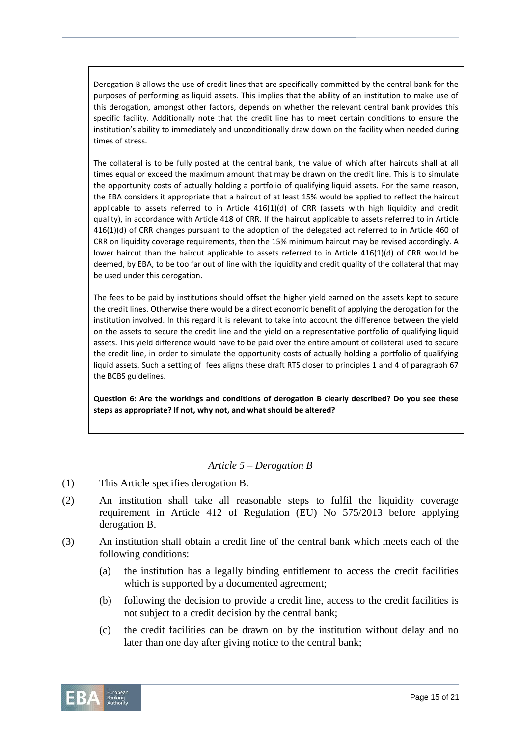Derogation B allows the use of credit lines that are specifically committed by the central bank for the purposes of performing as liquid assets. This implies that the ability of an institution to make use of this derogation, amongst other factors, depends on whether the relevant central bank provides this specific facility. Additionally note that the credit line has to meet certain conditions to ensure the institution's ability to immediately and unconditionally draw down on the facility when needed during times of stress.

The collateral is to be fully posted at the central bank, the value of which after haircuts shall at all times equal or exceed the maximum amount that may be drawn on the credit line. This is to simulate the opportunity costs of actually holding a portfolio of qualifying liquid assets. For the same reason, the EBA considers it appropriate that a haircut of at least 15% would be applied to reflect the haircut applicable to assets referred to in Article 416(1)(d) of CRR (assets with high liquidity and credit quality), in accordance with Article 418 of CRR. If the haircut applicable to assets referred to in Article 416(1)(d) of CRR changes pursuant to the adoption of the delegated act referred to in Article 460 of CRR on liquidity coverage requirements, then the 15% minimum haircut may be revised accordingly. A lower haircut than the haircut applicable to assets referred to in Article 416(1)(d) of CRR would be deemed, by EBA, to be too far out of line with the liquidity and credit quality of the collateral that may be used under this derogation.

The fees to be paid by institutions should offset the higher yield earned on the assets kept to secure the credit lines. Otherwise there would be a direct economic benefit of applying the derogation for the institution involved. In this regard it is relevant to take into account the difference between the yield on the assets to secure the credit line and the yield on a representative portfolio of qualifying liquid assets. This yield difference would have to be paid over the entire amount of collateral used to secure the credit line, in order to simulate the opportunity costs of actually holding a portfolio of qualifying liquid assets. Such a setting of fees aligns these draft RTS closer to principles 1 and 4 of paragraph 67 the BCBS guidelines.

**Question 6: Are the workings and conditions of derogation B clearly described? Do you see these steps as appropriate? If not, why not, and what should be altered?**

## *Article 5 – Derogation B*

- (1) This Article specifies derogation B.
- (2) An institution shall take all reasonable steps to fulfil the liquidity coverage requirement in Article 412 of Regulation (EU) No 575/2013 before applying derogation B.
- (3) An institution shall obtain a credit line of the central bank which meets each of the following conditions:
	- (a) the institution has a legally binding entitlement to access the credit facilities which is supported by a documented agreement;
	- (b) following the decision to provide a credit line, access to the credit facilities is not subject to a credit decision by the central bank;
	- (c) the credit facilities can be drawn on by the institution without delay and no later than one day after giving notice to the central bank;

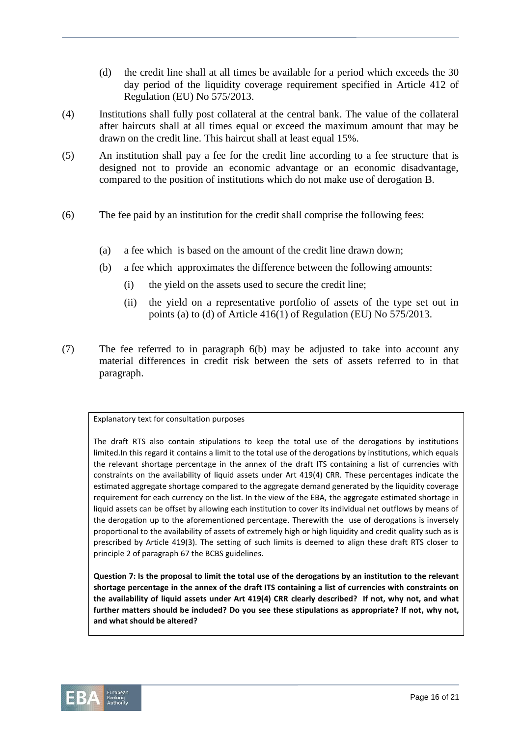- (d) the credit line shall at all times be available for a period which exceeds the 30 day period of the liquidity coverage requirement specified in Article 412 of Regulation (EU) No 575/2013.
- (4) Institutions shall fully post collateral at the central bank. The value of the collateral after haircuts shall at all times equal or exceed the maximum amount that may be drawn on the credit line. This haircut shall at least equal 15%.
- (5) An institution shall pay a fee for the credit line according to a fee structure that is designed not to provide an economic advantage or an economic disadvantage, compared to the position of institutions which do not make use of derogation B.
- (6) The fee paid by an institution for the credit shall comprise the following fees:
	- (a) a fee which is based on the amount of the credit line drawn down;
	- (b) a fee which approximates the difference between the following amounts:
		- (i) the yield on the assets used to secure the credit line;
		- (ii) the yield on a representative portfolio of assets of the type set out in points (a) to (d) of Article 416(1) of Regulation (EU) No 575/2013.
- (7) The fee referred to in paragraph 6(b) may be adjusted to take into account any material differences in credit risk between the sets of assets referred to in that paragraph.

#### Explanatory text for consultation purposes

The draft RTS also contain stipulations to keep the total use of the derogations by institutions limited.In this regard it contains a limit to the total use of the derogations by institutions, which equals the relevant shortage percentage in the annex of the draft ITS containing a list of currencies with constraints on the availability of liquid assets under Art 419(4) CRR. These percentages indicate the estimated aggregate shortage compared to the aggregate demand generated by the liquidity coverage requirement for each currency on the list. In the view of the EBA, the aggregate estimated shortage in liquid assets can be offset by allowing each institution to cover its individual net outflows by means of the derogation up to the aforementioned percentage. Therewith the use of derogations is inversely proportional to the availability of assets of extremely high or high liquidity and credit quality such as is prescribed by Article 419(3). The setting of such limits is deemed to align these draft RTS closer to principle 2 of paragraph 67 the BCBS guidelines.

**Question 7: Is the proposal to limit the total use of the derogations by an institution to the relevant shortage percentage in the annex of the draft ITS containing a list of currencies with constraints on the availability of liquid assets under Art 419(4) CRR clearly described? If not, why not, and what further matters should be included? Do you see these stipulations as appropriate? If not, why not, and what should be altered?**

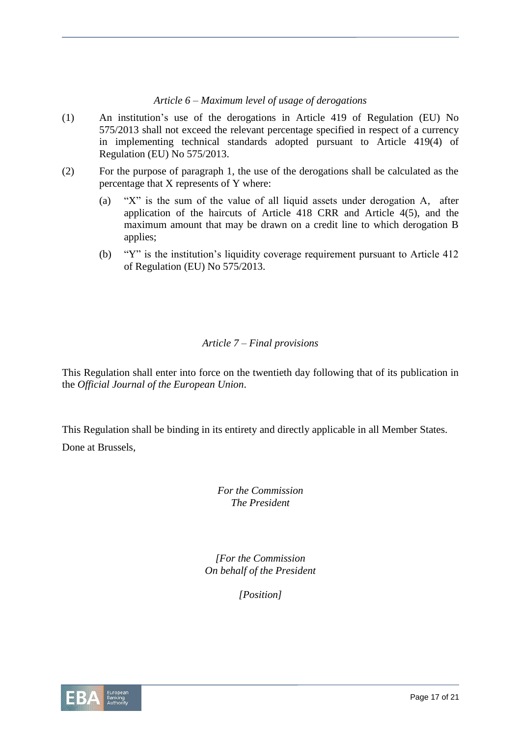# *Article 6 – Maximum level of usage of derogations*

- (1) An institution's use of the derogations in Article 419 of Regulation (EU) No 575/2013 shall not exceed the relevant percentage specified in respect of a currency in implementing technical standards adopted pursuant to Article 419(4) of Regulation (EU) No 575/2013.
- (2) For the purpose of paragraph 1, the use of the derogations shall be calculated as the percentage that X represents of Y where:
	- (a) "X" is the sum of the value of all liquid assets under derogation A, after application of the haircuts of Article 418 CRR and Article 4(5), and the maximum amount that may be drawn on a credit line to which derogation B applies;
	- (b) "Y" is the institution's liquidity coverage requirement pursuant to Article 412 of Regulation (EU) No 575/2013.

# *Article 7 – Final provisions*

This Regulation shall enter into force on the twentieth day following that of its publication in the *Official Journal of the European Union*.

This Regulation shall be binding in its entirety and directly applicable in all Member States. Done at Brussels,

> *For the Commission The President*

*[For the Commission On behalf of the President*

*[Position]*

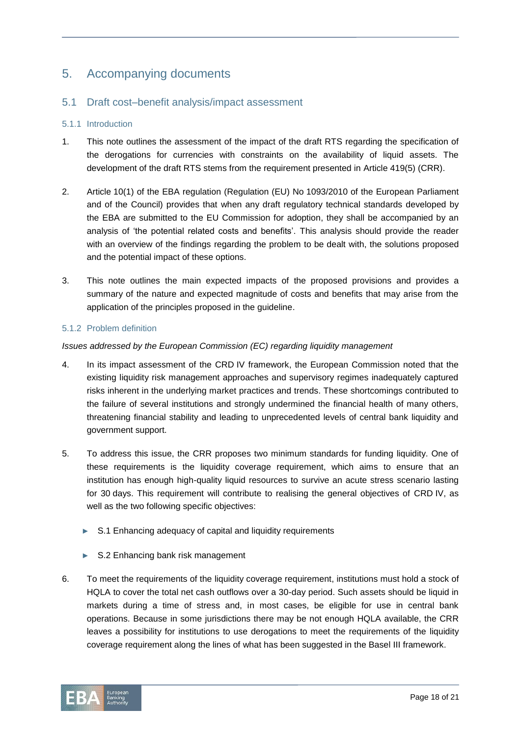# 5. Accompanying documents

# 5.1 Draft cost–benefit analysis/impact assessment

#### 5.1.1 Introduction

- 1. This note outlines the assessment of the impact of the draft RTS regarding the specification of the derogations for currencies with constraints on the availability of liquid assets. The development of the draft RTS stems from the requirement presented in Article 419(5) (CRR).
- 2. Article 10(1) of the EBA regulation (Regulation (EU) No 1093/2010 of the European Parliament and of the Council) provides that when any draft regulatory technical standards developed by the EBA are submitted to the EU Commission for adoption, they shall be accompanied by an analysis of 'the potential related costs and benefits'. This analysis should provide the reader with an overview of the findings regarding the problem to be dealt with, the solutions proposed and the potential impact of these options.
- 3. This note outlines the main expected impacts of the proposed provisions and provides a summary of the nature and expected magnitude of costs and benefits that may arise from the application of the principles proposed in the guideline.

### 5.1.2 Problem definition

### *Issues addressed by the European Commission (EC) regarding liquidity management*

- 4. In its impact assessment of the CRD IV framework, the European Commission noted that the existing liquidity risk management approaches and supervisory regimes inadequately captured risks inherent in the underlying market practices and trends. These shortcomings contributed to the failure of several institutions and strongly undermined the financial health of many others, threatening financial stability and leading to unprecedented levels of central bank liquidity and government support.
- 5. To address this issue, the CRR proposes two minimum standards for funding liquidity. One of these requirements is the liquidity coverage requirement, which aims to ensure that an institution has enough high-quality liquid resources to survive an acute stress scenario lasting for 30 days. This requirement will contribute to realising the general objectives of CRD IV, as well as the two following specific objectives:
	- S.1 Enhancing adequacy of capital and liquidity requirements
	- ► S.2 Enhancing bank risk management
- 6. To meet the requirements of the liquidity coverage requirement, institutions must hold a stock of HQLA to cover the total net cash outflows over a 30-day period. Such assets should be liquid in markets during a time of stress and, in most cases, be eligible for use in central bank operations. Because in some jurisdictions there may be not enough HQLA available, the CRR leaves a possibility for institutions to use derogations to meet the requirements of the liquidity coverage requirement along the lines of what has been suggested in the Basel III framework.

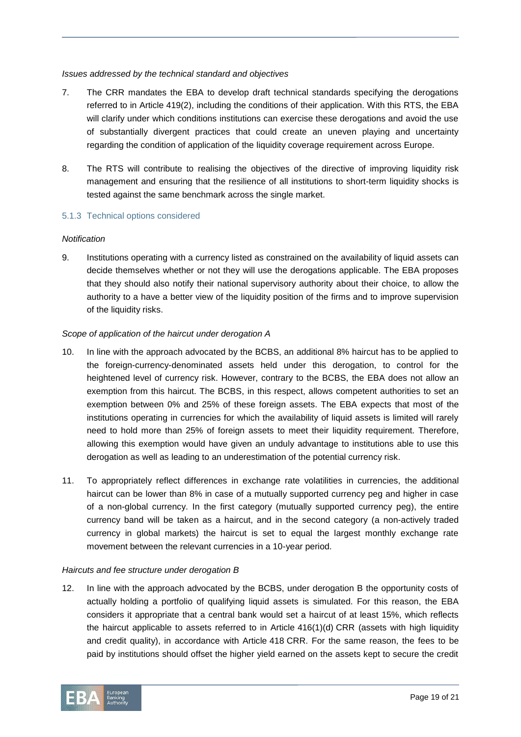#### *Issues addressed by the technical standard and objectives*

- 7. The CRR mandates the EBA to develop draft technical standards specifying the derogations referred to in Article 419(2), including the conditions of their application. With this RTS, the EBA will clarify under which conditions institutions can exercise these derogations and avoid the use of substantially divergent practices that could create an uneven playing and uncertainty regarding the condition of application of the liquidity coverage requirement across Europe.
- 8. The RTS will contribute to realising the objectives of the directive of improving liquidity risk management and ensuring that the resilience of all institutions to short-term liquidity shocks is tested against the same benchmark across the single market.

#### 5.1.3 Technical options considered

#### *Notification*

9. Institutions operating with a currency listed as constrained on the availability of liquid assets can decide themselves whether or not they will use the derogations applicable. The EBA proposes that they should also notify their national supervisory authority about their choice, to allow the authority to a have a better view of the liquidity position of the firms and to improve supervision of the liquidity risks.

#### *Scope of application of the haircut under derogation A*

- 10. In line with the approach advocated by the BCBS, an additional 8% haircut has to be applied to the foreign-currency-denominated assets held under this derogation, to control for the heightened level of currency risk. However, contrary to the BCBS, the EBA does not allow an exemption from this haircut. The BCBS, in this respect, allows competent authorities to set an exemption between 0% and 25% of these foreign assets. The EBA expects that most of the institutions operating in currencies for which the availability of liquid assets is limited will rarely need to hold more than 25% of foreign assets to meet their liquidity requirement. Therefore, allowing this exemption would have given an unduly advantage to institutions able to use this derogation as well as leading to an underestimation of the potential currency risk.
- 11. To appropriately reflect differences in exchange rate volatilities in currencies, the additional haircut can be lower than 8% in case of a mutually supported currency peg and higher in case of a non-global currency. In the first category (mutually supported currency peg), the entire currency band will be taken as a haircut, and in the second category (a non-actively traded currency in global markets) the haircut is set to equal the largest monthly exchange rate movement between the relevant currencies in a 10-year period.

#### *Haircuts and fee structure under derogation B*

12. In line with the approach advocated by the BCBS, under derogation B the opportunity costs of actually holding a portfolio of qualifying liquid assets is simulated. For this reason, the EBA considers it appropriate that a central bank would set a haircut of at least 15%, which reflects the haircut applicable to assets referred to in Article 416(1)(d) CRR (assets with high liquidity and credit quality), in accordance with Article 418 CRR. For the same reason, the fees to be paid by institutions should offset the higher yield earned on the assets kept to secure the credit

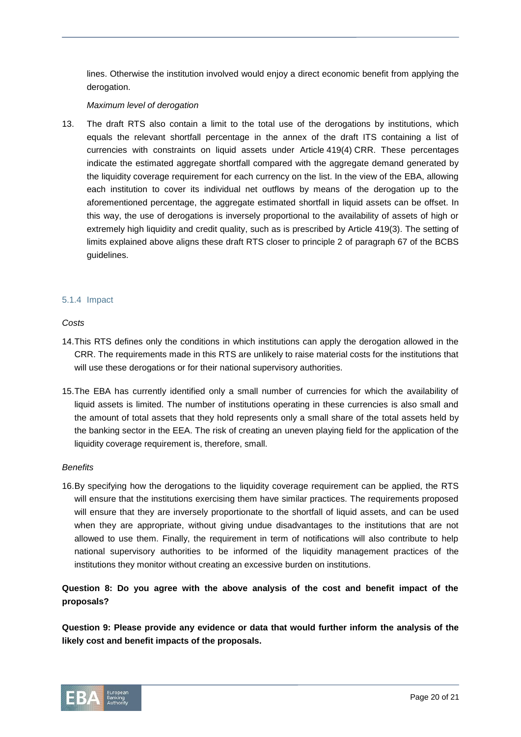lines. Otherwise the institution involved would enjoy a direct economic benefit from applying the derogation.

#### *Maximum level of derogation*

13. The draft RTS also contain a limit to the total use of the derogations by institutions, which equals the relevant shortfall percentage in the annex of the draft ITS containing a list of currencies with constraints on liquid assets under Article 419(4) CRR. These percentages indicate the estimated aggregate shortfall compared with the aggregate demand generated by the liquidity coverage requirement for each currency on the list. In the view of the EBA, allowing each institution to cover its individual net outflows by means of the derogation up to the aforementioned percentage, the aggregate estimated shortfall in liquid assets can be offset. In this way, the use of derogations is inversely proportional to the availability of assets of high or extremely high liquidity and credit quality, such as is prescribed by Article 419(3). The setting of limits explained above aligns these draft RTS closer to principle 2 of paragraph 67 of the BCBS guidelines.

#### 5.1.4 Impact

#### *Costs*

- 14.This RTS defines only the conditions in which institutions can apply the derogation allowed in the CRR. The requirements made in this RTS are unlikely to raise material costs for the institutions that will use these derogations or for their national supervisory authorities.
- 15.The EBA has currently identified only a small number of currencies for which the availability of liquid assets is limited. The number of institutions operating in these currencies is also small and the amount of total assets that they hold represents only a small share of the total assets held by the banking sector in the EEA. The risk of creating an uneven playing field for the application of the liquidity coverage requirement is, therefore, small.

#### *Benefits*

16.By specifying how the derogations to the liquidity coverage requirement can be applied, the RTS will ensure that the institutions exercising them have similar practices. The requirements proposed will ensure that they are inversely proportionate to the shortfall of liquid assets, and can be used when they are appropriate, without giving undue disadvantages to the institutions that are not allowed to use them. Finally, the requirement in term of notifications will also contribute to help national supervisory authorities to be informed of the liquidity management practices of the institutions they monitor without creating an excessive burden on institutions.

**Question 8: Do you agree with the above analysis of the cost and benefit impact of the proposals?**

**Question 9: Please provide any evidence or data that would further inform the analysis of the likely cost and benefit impacts of the proposals.**